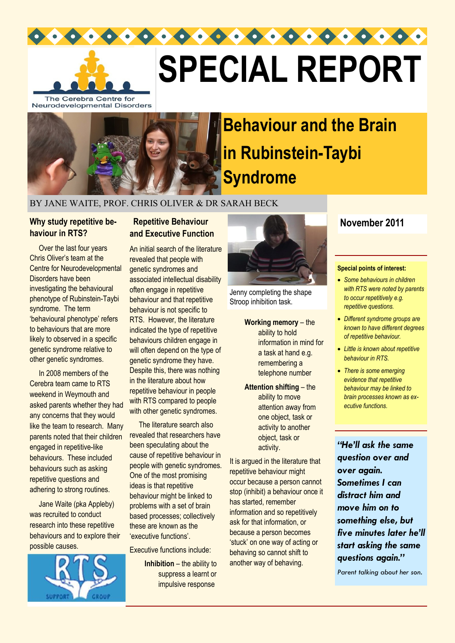

# **SPECIAL REPORT**

The Cerebra Centre for Neurodevelopmental Disorders



## **Behaviour and the Brain in Rubinstein-Taybi Syndrome**

#### BY JANE WAITE, PROF. CHRIS OLIVER & DR SARAH BECK

#### **Why study repetitive behaviour in RTS?**

 Over the last four years Chris Oliver's team at the Centre for Neurodevelopmental Disorders have been investigating the behavioural phenotype of Rubinstein-Taybi syndrome. The term 'behavioural phenotype' refers to behaviours that are more likely to observed in a specific genetic syndrome relative to other genetic syndromes.

 In 2008 members of the Cerebra team came to RTS weekend in Weymouth and asked parents whether they had any concerns that they would like the team to research. Many parents noted that their children engaged in repetitive-like behaviours. These included behaviours such as asking repetitive questions and adhering to strong routines.

 Jane Waite (pka Appleby) was recruited to conduct research into these repetitive behaviours and to explore their possible causes.



#### **Repetitive Behaviour and Executive Function**

An initial search of the literature revealed that people with genetic syndromes and associated intellectual disability often engage in repetitive behaviour and that repetitive behaviour is not specific to RTS. However, the literature indicated the type of repetitive behaviours children engage in will often depend on the type of genetic syndrome they have. Despite this, there was nothing in the literature about how repetitive behaviour in people with RTS compared to people with other genetic syndromes.

 The literature search also revealed that researchers have been speculating about the cause of repetitive behaviour in people with genetic syndromes. One of the most promising ideas is that repetitive behaviour might be linked to problems with a set of brain based processes; collectively these are known as the 'executive functions'.

Executive functions include:

**Inhibition – the ability to** suppress a learnt or impulsive response



Jenny completing the shape Stroop inhibition task.

**Working memory** – the ability to hold information in mind for a task at hand e.g. remembering a telephone number

**Attention shifting** – the ability to move attention away from one object, task or activity to another object, task or activity.

It is argued in the literature that repetitive behaviour might occur because a person cannot stop (inhibit) a behaviour once it has started, remember information and so repetitively ask for that information, or because a person becomes 'stuck' on one way of acting or behaving so cannot shift to another way of behaving.

#### **November 2011**

#### **Special points of interest:**

- *Some behaviours in children with RTS were noted by parents to occur repetitively e.g. repetitive questions.*
- *Different syndrome groups are known to have different degrees of repetitive behaviour.*
- *Little is known about repetitive behaviour in RTS.*
- *There is some emerging evidence that repetitive behaviour may be linked to brain processes known as executive functions.*

*"He'll ask the same question over and over again. Sometimes I can distract him and move him on to something else, but five minutes later he'll start asking the same questions again."*

*Parent talking about her son.*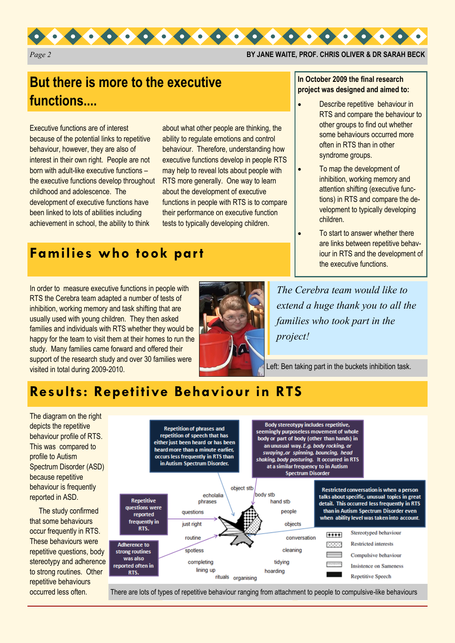

*Page 2* **BY JANE WAITE, PROF. CHRIS OLIVER & DR SARAH BECK**

## **But there is more to the executive functions....**

Executive functions are of interest because of the potential links to repetitive behaviour, however, they are also of interest in their own right. People are not born with adult-like executive functions – the executive functions develop throughout childhood and adolescence. The development of executive functions have been linked to lots of abilities including achievement in school, the ability to think

about what other people are thinking, the ability to regulate emotions and control behaviour. Therefore, understanding how executive functions develop in people RTS may help to reveal lots about people with RTS more generally. One way to learn about the development of executive functions in people with RTS is to compare their performance on executive function tests to typically developing children.

## **Families who took part**

In order to measure executive functions in people with RTS the Cerebra team adapted a number of tests of inhibition, working memory and task shifting that are usually used with young children. They then asked families and individuals with RTS whether they would be happy for the team to visit them at their homes to run the study. Many families came forward and offered their support of the research study and over 30 families were visited in total during 2009-2010.



#### **In October 2009 the final research project was designed and aimed to:**

- Describe repetitive behaviour in RTS and compare the behaviour to other groups to find out whether some behaviours occurred more often in RTS than in other syndrome groups.
- To map the development of inhibition, working memory and attention shifting (executive functions) in RTS and compare the development to typically developing children.
- To start to answer whether there are links between repetitive behaviour in RTS and the development of the executive functions.

*The Cerebra team would like to extend a huge thank you to all the families who took part in the project!*

Left: Ben taking part in the buckets inhibition task.

## **Results: Repetitive Behaviour in RTS**

The diagram on the right depicts the repetitive behaviour profile of RTS. This was compared to profile to Autism Spectrum Disorder (ASD) because repetitive behaviour is frequently reported in ASD.

 The study confirmed that some behaviours occur frequently in RTS. These behaviours were repetitive questions, body stereotypy and adherence to strong routines. Other repetitive behaviours occurred less often.



There are lots of types of repetitive behaviour ranging from attachment to people to compulsive-like behaviours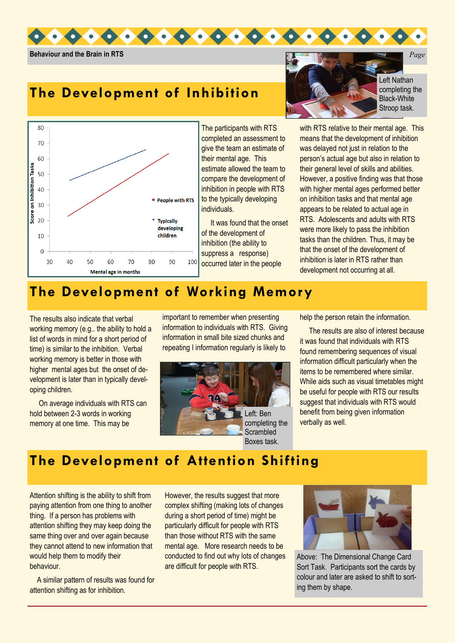

**Behaviour and the Brain in RTS** *Page* 

## **The Development of Inhibition**



The participants with RTS completed an assessment to give the team an estimate of their mental age. This estimate allowed the team to compare the development of inhibition in people with RTS to the typically developing individuals.

 It was found that the onset of the development of inhibition (the ability to suppress a response) occurred later in the people



Left Nathan completing the Black-White Stroop task.

with RTS relative to their mental age. This means that the development of inhibition was delayed not just in relation to the person's actual age but also in relation to their general level of skills and abilities. However, a positive finding was that those with higher mental ages performed better on inhibition tasks and that mental age appears to be related to actual age in RTS. Adolescents and adults with RTS were more likely to pass the inhibition tasks than the children. Thus, it may be that the onset of the development of inhibition is later in RTS rather than development not occurring at all.

## **The Development of Working Memory**

The results also indicate that verbal working memory (e.g.. the ability to hold a list of words in mind for a short period of time) is similar to the inhibition. Verbal working memory is better in those with higher mental ages but the onset of development is later than in typically developing children.

 On average individuals with RTS can hold between 2-3 words in working memory at one time. This may be

important to remember when presenting information to individuals with RTS. Giving information in small bite sized chunks and repeating I information regularly is likely to



help the person retain the information.

 The results are also of interest because it was found that individuals with RTS found remembering sequences of visual information difficult particularly when the items to be remembered where similar. While aids such as visual timetables might be useful for people with RTS our results suggest that individuals with RTS would benefit from being given information verbally as well.

## **The Development of Attention Shifting**

Attention shifting is the ability to shift from paying attention from one thing to another thing. If a person has problems with attention shifting they may keep doing the same thing over and over again because they cannot attend to new information that would help them to modify their behaviour.

 A similar pattern of results was found for attention shifting as for inhibition.

However, the results suggest that more complex shifting (making lots of changes during a short period of time) might be particularly difficult for people with RTS than those without RTS with the same mental age. More research needs to be conducted to find out why lots of changes are difficult for people with RTS.



Above: The Dimensional Change Card Sort Task. Participants sort the cards by colour and later are asked to shift to sorting them by shape.